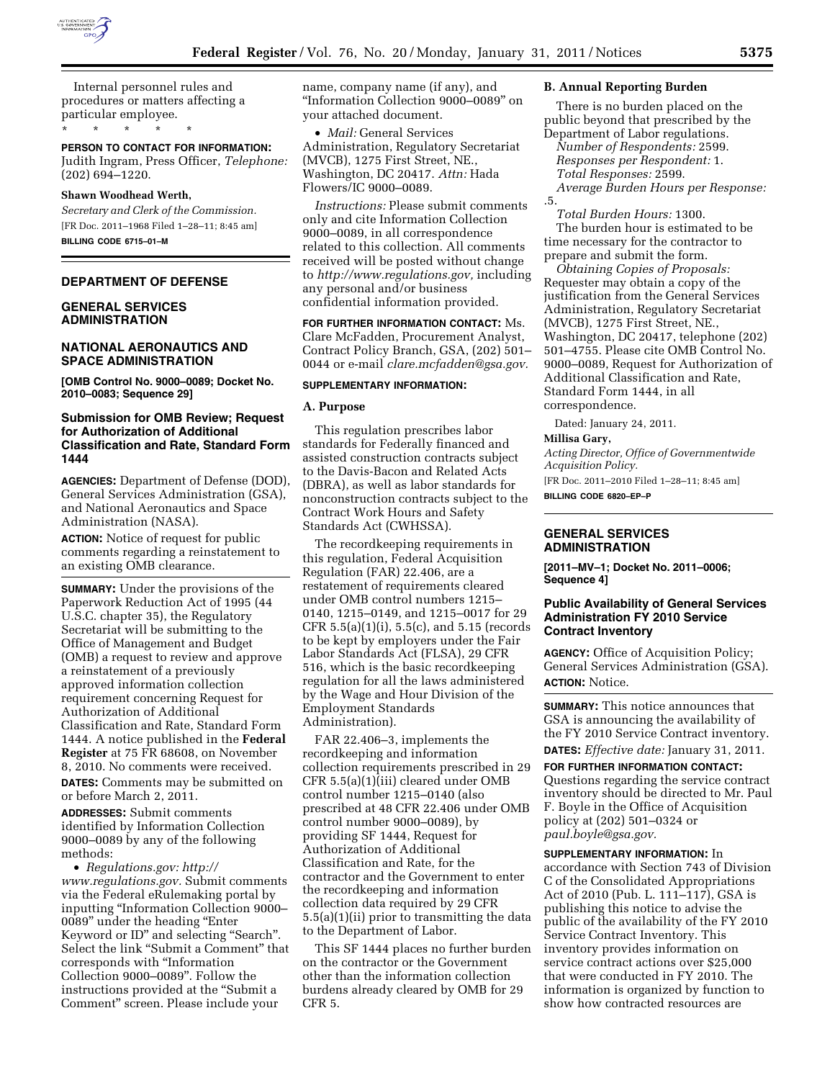

Internal personnel rules and procedures or matters affecting a particular employee.

\* \* \* \* \*

**PERSON TO CONTACT FOR INFORMATION:**  Judith Ingram, Press Officer, *Telephone:*  (202) 694–1220.

### **Shawn Woodhead Werth,**

*Secretary and Clerk of the Commission.*  [FR Doc. 2011–1968 Filed 1–28–11; 8:45 am] **BILLING CODE 6715–01–M** 

## **DEPARTMENT OF DEFENSE**

## **GENERAL SERVICES ADMINISTRATION**

## **NATIONAL AERONAUTICS AND SPACE ADMINISTRATION**

**[OMB Control No. 9000–0089; Docket No. 2010–0083; Sequence 29]** 

## **Submission for OMB Review; Request for Authorization of Additional Classification and Rate, Standard Form 1444**

**AGENCIES:** Department of Defense (DOD), General Services Administration (GSA), and National Aeronautics and Space Administration (NASA).

**ACTION:** Notice of request for public comments regarding a reinstatement to an existing OMB clearance.

**SUMMARY:** Under the provisions of the Paperwork Reduction Act of 1995 (44 U.S.C. chapter 35), the Regulatory Secretariat will be submitting to the Office of Management and Budget (OMB) a request to review and approve a reinstatement of a previously approved information collection requirement concerning Request for Authorization of Additional Classification and Rate, Standard Form 1444. A notice published in the **Federal Register** at 75 FR 68608, on November 8, 2010. No comments were received. **DATES:** Comments may be submitted on or before March 2, 2011.

**ADDRESSES:** Submit comments identified by Information Collection 9000–0089 by any of the following methods:

• *Regulations.gov: [http://](http://www.regulations.gov)  [www.regulations.gov.](http://www.regulations.gov)* Submit comments via the Federal eRulemaking portal by inputting ''Information Collection 9000– 0089'' under the heading ''Enter Keyword or ID'' and selecting ''Search''. Select the link "Submit a Comment" that corresponds with ''Information Collection 9000–0089''. Follow the instructions provided at the ''Submit a Comment'' screen. Please include your

name, company name (if any), and ''Information Collection 9000–0089'' on your attached document.

• *Mail:* General Services Administration, Regulatory Secretariat (MVCB), 1275 First Street, NE., Washington, DC 20417. *Attn:* Hada Flowers/IC 9000–0089.

*Instructions:* Please submit comments only and cite Information Collection 9000–0089, in all correspondence related to this collection. All comments received will be posted without change to *[http://www.regulations.gov,](http://www.regulations.gov)* including any personal and/or business confidential information provided.

**FOR FURTHER INFORMATION CONTACT:** Ms. Clare McFadden, Procurement Analyst, Contract Policy Branch, GSA, (202) 501– 0044 or e-mail *[clare.mcfadden@gsa.gov.](mailto:clare.mcfadden@gsa.gov)* 

## **SUPPLEMENTARY INFORMATION:**

### **A. Purpose**

This regulation prescribes labor standards for Federally financed and assisted construction contracts subject to the Davis-Bacon and Related Acts (DBRA), as well as labor standards for nonconstruction contracts subject to the Contract Work Hours and Safety Standards Act (CWHSSA).

The recordkeeping requirements in this regulation, Federal Acquisition Regulation (FAR) 22.406, are a restatement of requirements cleared under OMB control numbers 1215– 0140, 1215–0149, and 1215–0017 for 29 CFR 5.5(a)(1)(i), 5.5(c), and 5.15 (records to be kept by employers under the Fair Labor Standards Act (FLSA), 29 CFR 516, which is the basic recordkeeping regulation for all the laws administered by the Wage and Hour Division of the Employment Standards Administration).

FAR 22.406–3, implements the recordkeeping and information collection requirements prescribed in 29 CFR 5.5(a)(1)(iii) cleared under OMB control number 1215–0140 (also prescribed at 48 CFR 22.406 under OMB control number 9000–0089), by providing SF 1444, Request for Authorization of Additional Classification and Rate, for the contractor and the Government to enter the recordkeeping and information collection data required by 29 CFR 5.5(a)(1)(ii) prior to transmitting the data to the Department of Labor.

This SF 1444 places no further burden on the contractor or the Government other than the information collection burdens already cleared by OMB for 29 CFR 5.

### **B. Annual Reporting Burden**

There is no burden placed on the public beyond that prescribed by the Department of Labor regulations.

*Number of Respondents:* 2599. *Responses per Respondent:* 1. *Total Responses:* 2599. *Average Burden Hours per Response:* 

.5. *Total Burden Hours:* 1300. The burden hour is estimated to be time necessary for the contractor to

prepare and submit the form.

*Obtaining Copies of Proposals:*  Requester may obtain a copy of the justification from the General Services Administration, Regulatory Secretariat (MVCB), 1275 First Street, NE., Washington, DC 20417, telephone (202) 501–4755. Please cite OMB Control No. 9000–0089, Request for Authorization of Additional Classification and Rate, Standard Form 1444, in all correspondence.

Dated: January 24, 2011.

#### **Millisa Gary,**

*Acting Director, Office of Governmentwide Acquisition Policy.*  [FR Doc. 2011–2010 Filed 1–28–11; 8:45 am] **BILLING CODE 6820–EP–P** 

## **GENERAL SERVICES ADMINISTRATION**

**[2011–MV–1; Docket No. 2011–0006; Sequence 4]** 

## **Public Availability of General Services Administration FY 2010 Service Contract Inventory**

**AGENCY:** Office of Acquisition Policy; General Services Administration (GSA). **ACTION:** Notice.

**SUMMARY:** This notice announces that GSA is announcing the availability of the FY 2010 Service Contract inventory. **DATES:** *Effective date:* January 31, 2011.

**FOR FURTHER INFORMATION CONTACT:**  Questions regarding the service contract inventory should be directed to Mr. Paul F. Boyle in the Office of Acquisition policy at (202) 501–0324 or *[paul.boyle@gsa.gov.](mailto:paul.boyle@gsa.gov)* 

**SUPPLEMENTARY INFORMATION:** In accordance with Section 743 of Division C of the Consolidated Appropriations Act of 2010 (Pub. L. 111–117), GSA is publishing this notice to advise the public of the availability of the FY 2010 Service Contract Inventory. This inventory provides information on service contract actions over \$25,000 that were conducted in FY 2010. The information is organized by function to show how contracted resources are